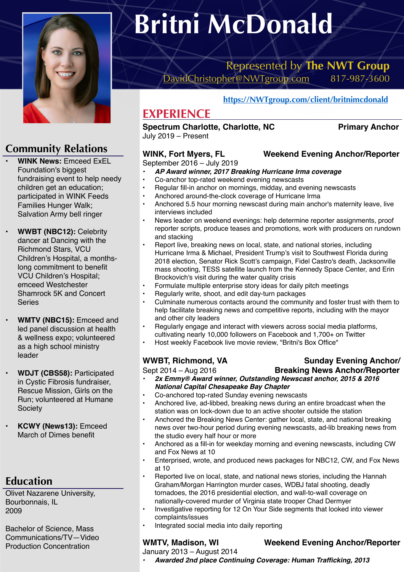

### **Community Relations**

- **WINK News:** Emceed ExEL Foundation's biggest fundraising event to help needy children get an education; participated in WINK Feeds Families Hunger Walk; Salvation Army bell ringer
- **WWBT (NBC12):** Celebrity dancer at Dancing with the Richmond Stars, VCU Children's Hospital, a monthslong commitment to benefit VCU Children's Hospital; emceed Westchester Shamrock 5K and Concert Series
- **WMTV (NBC15):** Emceed and led panel discussion at health & wellness expo; volunteered as a high school ministry leader
- **WDJT (CBS58):** Participated in Cystic Fibrosis fundraiser, Rescue Mission, Girls on the Run; volunteered at Humane **Society**
- **KCWY (News13):** Emceed March of Dimes benefit

### **Education**

Olivet Nazarene University, Bourbonnais, IL 2009

Bachelor of Science, Mass Communications/TV—Video Production Concentration

# **Britni McDonald**

### Represented by **The NWT Group**  [DavidChristopher@NWTgroup.com](mailto:DavidChristopher@NWTgroup.com) 817-987-3600

**<https://NWTgroup.com/client/britnimcdonald>**

### **EXPERIENCE**

### **Spectrum Charlotte, Charlotte, NC Primary Anchor**

July 2019 – Present

### **WINK, Fort Myers, FL Weekend Evening Anchor/Reporter**

### September 2016 – July 2019

- *• AP Award winner, 2017 Breaking Hurricane Irma coverage*
- Co-anchor top-rated weekend evening newscasts
- Regular fill-in anchor on mornings, midday, and evening newscasts
- Anchored around-the-clock coverage of Hurricane Irma
- Anchored 5.5 hour morning newscast during main anchor's maternity leave, live interviews included
- News leader on weekend evenings: help determine reporter assignments, proof reporter scripts, produce teases and promotions, work with producers on rundown and stacking
- Report live, breaking news on local, state, and national stories, including Hurricane Irma & Michael, President Trump's visit to Southwest Florida during 2018 election, Senator Rick Scott's campaign, Fidel Castro's death, Jacksonville mass shooting, TESS satellite launch from the Kennedy Space Center, and Erin Brockovich's visit during the water quality crisis
- Formulate multiple enterprise story ideas for daily pitch meetings
- Regularly write, shoot, and edit day-turn packages
- Culminate numerous contacts around the community and foster trust with them to help facilitate breaking news and competitive reports, including with the mayor and other city leaders
- Regularly engage and interact with viewers across social media platforms, cultivating nearly 10,000 followers on Facebook and 1,700+ on Twitter
- Host weekly Facebook live movie review, "Britni's Box Office"

- *• 2x Emmy® Award winner, Outstanding Newscast anchor, 2015 & 2016 National Capital Chesapeake Bay Chapter*
- Co-anchored top-rated Sunday evening newscasts
- Anchored live, ad-libbed, breaking news during an entire broadcast when the station was on lock-down due to an active shooter outside the station
- Anchored the Breaking News Center: gather local, state, and national breaking news over two-hour period during evening newscasts, ad-lib breaking news from the studio every half hour or more
- Anchored as a fill-in for weekday morning and evening newscasts, including CW and Fox News at 10
- Enterprised, wrote, and produced news packages for NBC12, CW, and Fox News at 10
- Reported live on local, state, and national news stories, including the Hannah Graham/Morgan Harrington murder cases, WDBJ fatal shooting, deadly tornadoes, the 2016 presidential election, and wall-to-wall coverage on nationally-covered murder of Virginia state trooper Chad Dermyer
- Investigative reporting for 12 On Your Side segments that looked into viewer complaints/issues
- Integrated social media into daily reporting

### **WMTV, Madison, WI Weekend Evening Anchor/Reporter**

January 2013 – August 2014

*• Awarded 2nd place Continuing Coverage: Human Trafficking, 2013*

## Sept 2014 – Aug 2016 **Breaking News Anchor/Reporter**

- 
- WWBT, Richmond, VA Sunday Evening Anchor/